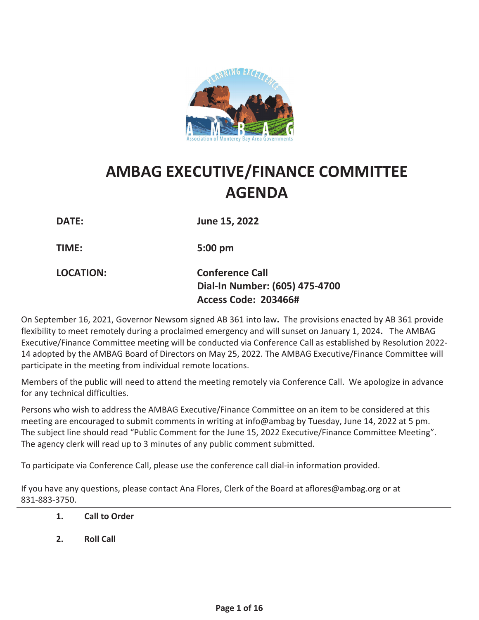

# **AMBAG EXECUTIVE/FINANCE COMMITTEE AGENDA**

**DATE: June 15, 2022**

**TIME: 5:00 pm**

## **LOCATION: Conference Call**  $Dial-In Number: (605)$  475-4700 **Access Code: 203466#**

On September 16, 2021, Governor Newsom signed AB 361 into law**.** The provisions enacted by AB 361 provide flexibility to meet remotely during a proclaimed emergency and will sunset on January 1, 2024**.** The AMBAG Executive/Finance Committee meeting will be conducted via Conference Call as established by Resolution 2022-14 adopted by the AMBAG Board of Directors on May 25, 2022. The AMBAG Executive/Finance Committee will participate in the meeting from individual remote locations.

Members of the public will need to attend the meeting remotely via Conference Call. We apologize in advance for any technical difficulties.

Persons who wish to address the AMBAG Executive/Finance Committee on an item to be considered at this meeting are encouraged to submit comments in writing at info@ambag by Tuesday, June 14, 2022 at 5 pm. The subject line should read "Public Comment for the June 15, 2022 Executive/Finance Committee Meeting". The agency clerk will read up to 3 minutes of any public comment submitted.

To participate via Conference Call, please use the conference call dial-in information provided.

If you have any questions, please contact Ana Flores, Clerk of the Board at aflores@ambag.org or at 831-883-3750.

- **1. Call to Order**
- **2. Roll Call**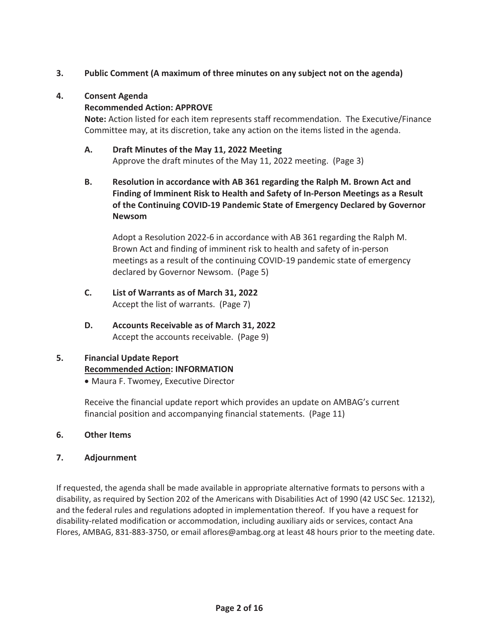**3. Public Comment (A maximum of three minutes on any subject not on the agenda)**

## **4. Consent Agenda**

## **Recommended Action: APPROVE**

**Note:** Action listed for each item represents staff recommendation. The Executive/Finance Committee may, at its discretion, take any action on the items listed in the agenda.

## **A. Draft Minutes of the May 11, 2022 Meeting**

Approve the draft minutes of the May 11, 2022 meeting. (Page 3)

## **B. Resolution in accordance with AB 361 regarding the Ralph M. Brown Act and Finding of Imminent Risk to Health and Safety of In-Person Meetings as a Result of the Continuing COVIDͲ19 Pandemic State of Emergency Declared by Governor Newsom**

Adopt a Resolution 2022-6 in accordance with AB 361 regarding the Ralph M. Brown Act and finding of imminent risk to health and safety of in-person meetings as a result of the continuing COVID-19 pandemic state of emergency declared by Governor Newsom. (Page 5)

- **C. List of Warrants as of March 31, 2022** Accept the list of warrants. (Page 7)
- **D. Accounts Receivable as of March 31, 2022** Accept the accounts receivable. (Page 9)

## **5. Financial Update Report Recommended Action: INFORMATION**

• Maura F. Twomey, Executive Director

Receive the financial update report which provides an update on AMBAG's current financial position and accompanying financial statements. (Page 11)

## **6. Other Items**

## **7. Adjournment**

If requested, the agenda shall be made available in appropriate alternative formats to persons with a disability, as required by Section 202 of the Americans with Disabilities Act of 1990 (42 USC Sec. 12132), and the federal rules and regulations adopted in implementation thereof. If you have a request for disability-related modification or accommodation, including auxiliary aids or services, contact Ana Flores, AMBAG, 831-883-3750, or email aflores@ambag.org at least 48 hours prior to the meeting date.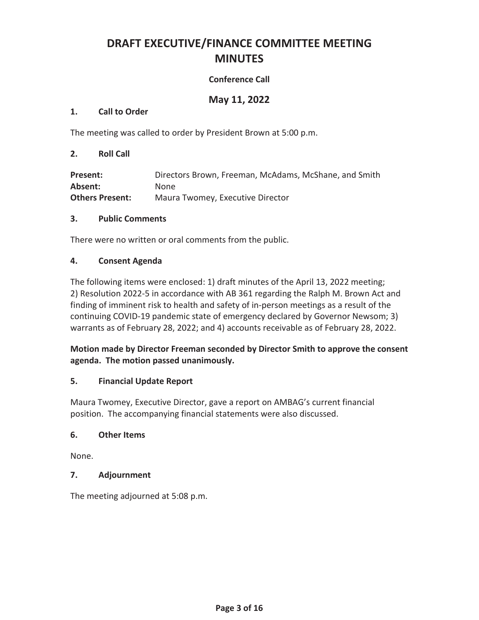# **DRAFT EXECUTIVE/FINANCE COMMITTEE MEETING MINUTES**

## **Conference Call**

## **May 11, 2022**

## **1. Call to Order**

The meeting was called to order by President Brown at 5:00 p.m.

## **2. Roll Call**

Present: **Directors Brown, Freeman, McAdams, McShane, and Smith** Absent: None **Others Present:** Maura Twomey, Executive Director

## **3. Public Comments**

There were no written or oral comments from the public.

## **4. Consent Agenda**

The following items were enclosed: 1) draft minutes of the April 13, 2022 meeting; 2) Resolution 2022-5 in accordance with AB 361 regarding the Ralph M. Brown Act and finding of imminent risk to health and safety of in-person meetings as a result of the continuing COVID-19 pandemic state of emergency declared by Governor Newsom; 3) warrants as of February 28, 2022; and 4) accounts receivable as of February 28, 2022.

## **Motion made by Director Freeman seconded by Director Smith to approve the consent agenda. The motion passed unanimously.**

## **5. Financial Update Report**

Maura Twomey, Executive Director, gave a report on AMBAG's current financial position. The accompanying financial statements were also discussed.

## **6. Other Items**

None.

### **7. Adjournment**

The meeting adjourned at 5:08 p.m.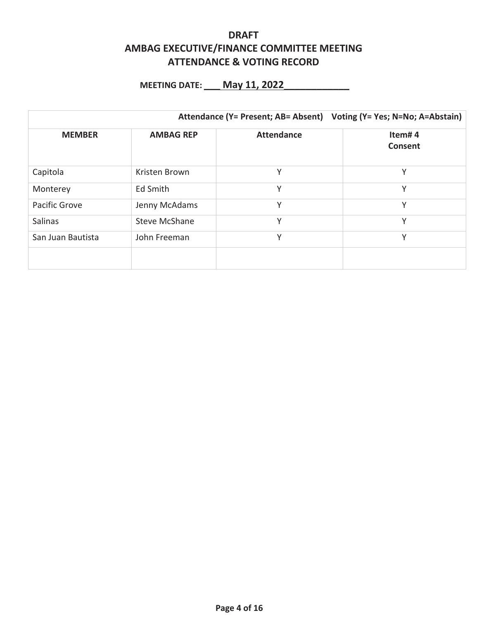## **DRAFT AMBAG EXECUTIVE/FINANCE COMMITTEE MEETING ATTENDANCE & VOTING RECORD**

## **MEETING DATE: \_\_\_ May 11, 2022\_\_\_\_\_\_\_\_\_\_\_\_**

|                   |                      | Attendance (Y= Present; AB= Absent) Voting (Y= Yes; N=No; A=Abstain) |                          |
|-------------------|----------------------|----------------------------------------------------------------------|--------------------------|
| <b>MEMBER</b>     | <b>AMBAG REP</b>     | <b>Attendance</b>                                                    | Item#4<br><b>Consent</b> |
| Capitola          | Kristen Brown        | Υ                                                                    | Υ                        |
| Monterey          | Ed Smith             | Υ                                                                    | Υ                        |
| Pacific Grove     | Jenny McAdams        | v                                                                    | Υ                        |
| <b>Salinas</b>    | <b>Steve McShane</b> | Υ                                                                    | Υ                        |
| San Juan Bautista | John Freeman         | v                                                                    | Y                        |
|                   |                      |                                                                      |                          |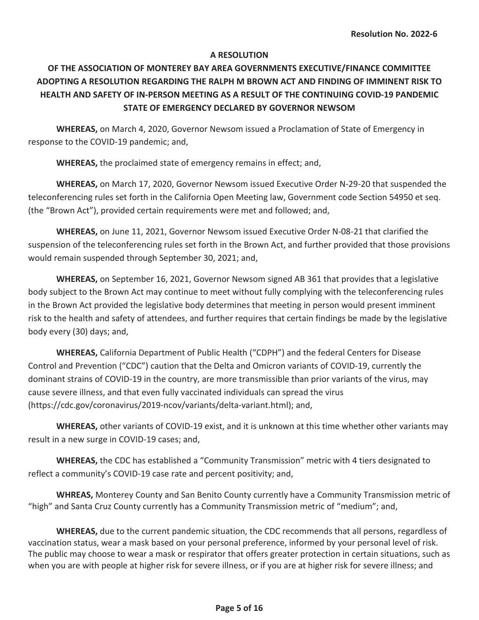## **A RESOLUTION**

## **OF THE ASSOCIATION OF MONTEREY BAY AREA GOVERNMENTS EXECUTIVE/FINANCE COMMITTEE ADOPTING A RESOLUTION REGARDING THE RALPH M BROWN ACT AND FINDING OF IMMINENT RISK TO HEALTH AND SAFETY OF IN-PERSON MEETING AS A RESULT OF THE CONTINUING COVID-19 PANDEMIC STATE OF EMERGENCY DECLARED BY GOVERNOR NEWSOM**

**WHEREAS,** on March 4, 2020, Governor Newsom issued a Proclamation of State of Emergency in response to the COVID-19 pandemic; and,

**WHEREAS,** the proclaimed state of emergency remains in effect; and,

**WHEREAS,** on March 17, 2020, Governor Newsom issued Executive Order N-29-20 that suspended the teleconferencing rules set forth in the California Open Meeting law, Government code Section 54950 et seq. (the "Brown Act"), provided certain requirements were met and followed; and,

**WHEREAS,** on June 11, 2021, Governor Newsom issued Executive Order N-08-21 that clarified the suspension of the teleconferencing rules set forth in the Brown Act, and further provided that those provisions would remain suspended through September 30, 2021; and,

**WHEREAS,** on September 16, 2021, Governor Newsom signed AB 361 that provides that a legislative body subject to the Brown Act may continue to meet without fully complying with the teleconferencing rules in the Brown Act provided the legislative body determines that meeting in person would present imminent risk to the health and safety of attendees, and further requires that certain findings be made by the legislative body every (30) days; and,

**WHEREAS,** California Department of Public Health ("CDPH") and the federal Centers for Disease Control and Prevention ("CDC") caution that the Delta and Omicron variants of COVID-19, currently the dominant strains of COVID-19 in the country, are more transmissible than prior variants of the virus, may cause severe illness, and that even fully vaccinated individuals can spread the virus (https://cdc.gov/coronavirus/2019-ncov/variants/delta-variant.html); and,

**WHEREAS,** other variants of COVID-19 exist, and it is unknown at this time whether other variants may result in a new surge in COVID-19 cases; and,

**WHEREAS,** the CDC has established a "Community Transmission" metric with 4 tiers designated to reflect a community's COVID-19 case rate and percent positivity; and,

**WHREAS,** Monterey County and San Benito County currently have a Community Transmission metric of "high" and Santa Cruz County currently has a Community Transmission metric of "medium"; and,

**WHEREAS,** due to the current pandemic situation, the CDC recommends that all persons, regardless of vaccination status, wear a mask based on your personal preference, informed by your personal level of risk. The public may choose to wear a mask or respirator that offers greater protection in certain situations, such as when you are with people at higher risk for severe illness, or if you are at higher risk for severe illness; and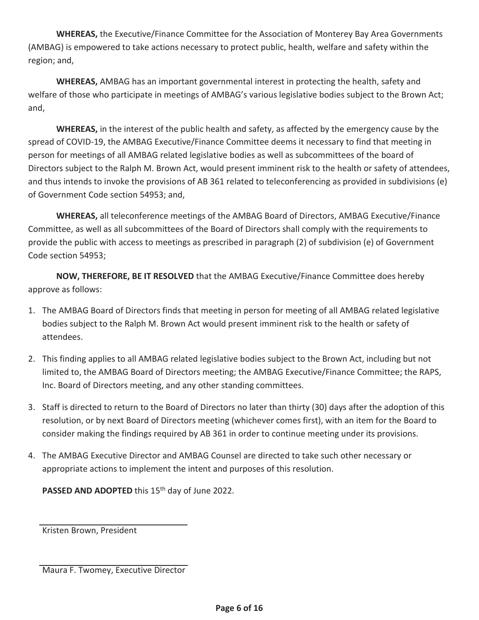**WHEREAS,** the Executive/Finance Committee for the Association of Monterey Bay Area Governments (AMBAG) is empowered to take actions necessary to protect public, health, welfare and safety within the region; and,

**WHEREAS,** AMBAG has an important governmental interest in protecting the health, safety and welfare of those who participate in meetings of AMBAG's various legislative bodies subject to the Brown Act; and,

**WHEREAS,** in the interest of the public health and safety, as affected by the emergency cause by the spread of COVID-19, the AMBAG Executive/Finance Committee deems it necessary to find that meeting in person for meetings of all AMBAG related legislative bodies as well as subcommittees of the board of Directors subject to the Ralph M. Brown Act, would present imminent risk to the health or safety of attendees, and thus intends to invoke the provisions of AB 361 related to teleconferencing as provided in subdivisions (e) of Government Code section 54953; and,

**WHEREAS,** all teleconference meetings of the AMBAG Board of Directors, AMBAG Executive/Finance Committee, as well as all subcommittees of the Board of Directors shall comply with the requirements to provide the public with access to meetings as prescribed in paragraph (2) of subdivision (e) of Government Code section 54953;

**NOW, THEREFORE, BE IT RESOLVED** that the AMBAG Executive/Finance Committee does hereby approve as follows:

- 1. The AMBAG Board of Directors finds that meeting in person for meeting of all AMBAG related legislative bodies subject to the Ralph M. Brown Act would present imminent risk to the health or safety of attendees.
- 2. This finding applies to all AMBAG related legislative bodies subject to the Brown Act, including but not limited to, the AMBAG Board of Directors meeting; the AMBAG Executive/Finance Committee; the RAPS, Inc. Board of Directors meeting, and any other standing committees.
- 3. Staff is directed to return to the Board of Directors no later than thirty (30) days after the adoption of this resolution, or by next Board of Directors meeting (whichever comes first), with an item for the Board to consider making the findings required by AB 361 in order to continue meeting under its provisions.
- 4. The AMBAG Executive Director and AMBAG Counsel are directed to take such other necessary or appropriate actions to implement the intent and purposes of this resolution.

PASSED AND ADOPTED this 15<sup>th</sup> day of June 2022.

Kristen Brown, President

Maura F. Twomey, Executive Director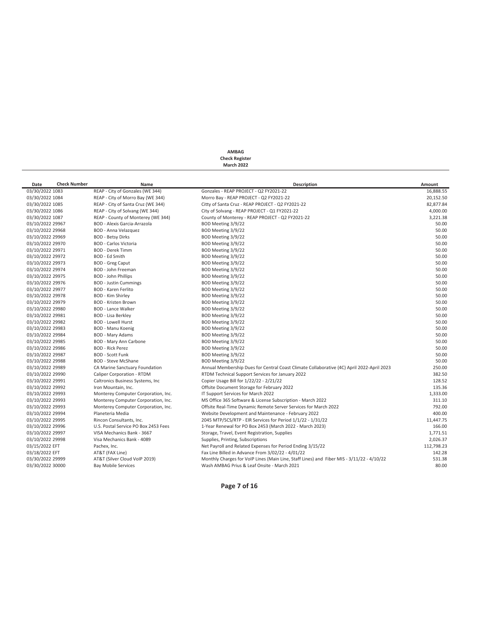#### **AMBAG Check Register March 2022**

| Date             | <b>Check Number</b> | Name                                 | Description                                                                               | Amount     |
|------------------|---------------------|--------------------------------------|-------------------------------------------------------------------------------------------|------------|
| 03/30/2022 1083  |                     | REAP - City of Gonzales (WE 344)     | Gonzales - REAP PROJECT - Q2 FY2021-22                                                    | 16,888.55  |
| 03/30/2022 1084  |                     | REAP - City of Morro Bay (WE 344)    | Morro Bay - REAP PROJECT - Q2 FY2021-22                                                   | 20,152.50  |
| 03/30/2022 1085  |                     | REAP - City of Santa Cruz (WE 344)   | Citty of Santa Cruz - REAP PROJECT - Q2 FY2021-22                                         | 82,877.84  |
| 03/30/2022 1086  |                     | REAP - City of Solvang (WE 344)      | City of Solvang - REAP PROJECT - Q1 FY2021-22                                             | 4,000.00   |
| 03/30/2022 1087  |                     | REAP - County of Monterey (WE 344)   | County of Monterey - REAP PROJECT - Q2 FY2021-22                                          | 3,221.38   |
| 03/10/2022 29967 |                     | BOD - Alexis Garcia-Arrazola         | BOD Meeting 3/9/22                                                                        | 50.00      |
| 03/10/2022 29968 |                     | BOD - Anna Velazquez                 | BOD Meeting 3/9/22                                                                        | 50.00      |
| 03/10/2022 29969 |                     | <b>BOD - Betsy Dirks</b>             | BOD Meeting 3/9/22                                                                        | 50.00      |
| 03/10/2022 29970 |                     | <b>BOD - Carlos Victoria</b>         | BOD Meeting 3/9/22                                                                        | 50.00      |
| 03/10/2022 29971 |                     | <b>BOD - Derek Timm</b>              | BOD Meeting 3/9/22                                                                        | 50.00      |
| 03/10/2022 29972 |                     | BOD - Ed Smith                       | BOD Meeting 3/9/22                                                                        | 50.00      |
| 03/10/2022 29973 |                     | <b>BOD</b> - Greg Caput              | BOD Meeting 3/9/22                                                                        | 50.00      |
| 03/10/2022 29974 |                     | BOD - John Freeman                   | BOD Meeting 3/9/22                                                                        | 50.00      |
| 03/10/2022 29975 |                     | <b>BOD - John Phillips</b>           | BOD Meeting 3/9/22                                                                        | 50.00      |
| 03/10/2022 29976 |                     | <b>BOD - Justin Cummings</b>         | BOD Meeting 3/9/22                                                                        | 50.00      |
| 03/10/2022 29977 |                     | <b>BOD - Karen Ferlito</b>           | BOD Meeting 3/9/22                                                                        | 50.00      |
| 03/10/2022 29978 |                     | BOD - Kim Shirley                    | BOD Meeting 3/9/22                                                                        | 50.00      |
| 03/10/2022 29979 |                     | <b>BOD - Kristen Brown</b>           | BOD Meeting 3/9/22                                                                        | 50.00      |
| 03/10/2022 29980 |                     | <b>BOD</b> - Lance Walker            | BOD Meeting 3/9/22                                                                        | 50.00      |
| 03/10/2022 29981 |                     | <b>BOD</b> - Lisa Berkley            | BOD Meeting 3/9/22                                                                        | 50.00      |
| 03/10/2022 29982 |                     | <b>BOD - Lowell Hurst</b>            | BOD Meeting 3/9/22                                                                        | 50.00      |
| 03/10/2022 29983 |                     | <b>BOD - Manu Koenig</b>             | BOD Meeting 3/9/22                                                                        | 50.00      |
| 03/10/2022 29984 |                     | <b>BOD - Mary Adams</b>              | BOD Meeting 3/9/22                                                                        | 50.00      |
| 03/10/2022 29985 |                     | BOD - Mary Ann Carbone               | BOD Meeting 3/9/22                                                                        | 50.00      |
| 03/10/2022 29986 |                     | <b>BOD - Rick Perez</b>              | BOD Meeting 3/9/22                                                                        | 50.00      |
| 03/10/2022 29987 |                     | <b>BOD - Scott Funk</b>              | BOD Meeting 3/9/22                                                                        | 50.00      |
| 03/10/2022 29988 |                     | <b>BOD - Steve McShane</b>           | BOD Meeting 3/9/22                                                                        | 50.00      |
| 03/10/2022 29989 |                     | CA Marine Sanctuary Foundation       | Annual Membership Dues for Central Coast Climate Collaborative (4C) April 2022-April 2023 | 250.00     |
| 03/10/2022 29990 |                     | Caliper Corporation - RTDM           | RTDM Technical Support Services for January 2022                                          | 382.50     |
| 03/10/2022 29991 |                     | Caltronics Business Systems, Inc.    | Copier Usage Bill for 1/22/22 - 2/21/22                                                   | 128.52     |
| 03/10/2022 29992 |                     | Iron Mountain, Inc.                  | Offsite Document Storage for February 2022                                                | 135.36     |
| 03/10/2022 29993 |                     | Monterey Computer Corporation, Inc.  | IT Support Services for March 2022                                                        | 1,333.00   |
| 03/10/2022 29993 |                     | Monterey Computer Corporation, Inc.  | MS Office 365 Software & License Subscription - March 2022                                | 311.10     |
| 03/10/2022 29993 |                     | Monterey Computer Corporation, Inc.  | Offsite Real-Time Dynamic Remote Server Services for March 2022                           | 792.00     |
| 03/10/2022 29994 |                     | Planeteria Media                     | Website Development and Maintenance - February 2022                                       | 400.00     |
| 03/10/2022 29995 |                     | Rincon Consultants, Inc.             | 2045 MTP/SCS/RTP - EIR Services for Period 1/1/22 - 1/31/22                               | 11,447.75  |
| 03/10/2022 29996 |                     | U.S. Postal Service PO Box 2453 Fees | 1-Year Renewal for PO Box 2453 (March 2022 - March 2023)                                  | 166.00     |
| 03/10/2022 29997 |                     | VISA Mechanics Bank - 3667           | Storage, Travel, Event Registration, Supplies                                             | 1,771.51   |
| 03/10/2022 29998 |                     | Visa Mechanics Bank - 4089           | Supplies, Printing, Subscriptions                                                         | 2,026.37   |
| 03/15/2022 EFT   |                     | Pachex, Inc.                         | Net Payroll and Related Expenses for Period Ending 3/15/22                                | 112,798.23 |
| 03/18/2022 EFT   |                     | AT&T (FAX Line)                      | Fax Line Billed in Advance From 3/02/22 - 4/01/22                                         | 142.28     |
| 03/30/2022 29999 |                     | AT&T (Silver Cloud VoIP 2019)        | Monthly Charges for VoIP Lines (Main Line, Staff Lines) and Fiber MIS - 3/11/22 - 4/10/22 | 531.38     |
| 03/30/2022 30000 |                     | <b>Bay Mobile Services</b>           | Wash AMBAG Prius & Leaf Onsite - March 2021                                               | 80.00      |

**Page 7 of 16**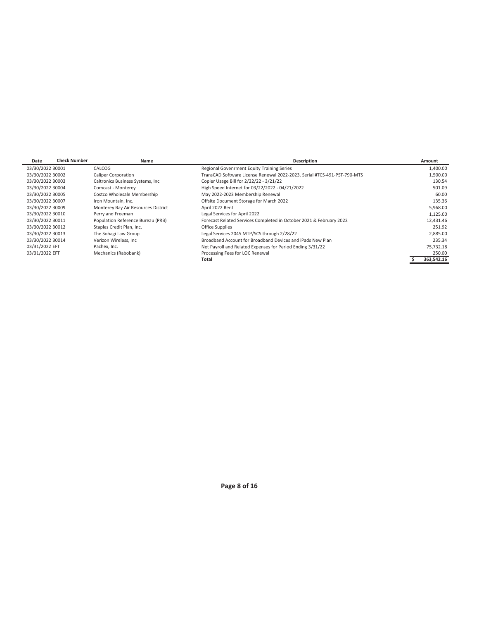| Date             | <b>Check Number</b> | Name                                | Description                                                              | Amount     |
|------------------|---------------------|-------------------------------------|--------------------------------------------------------------------------|------------|
| 03/30/2022 30001 |                     | CALCOG                              | Regional Govenrment Equity Training Series                               | 1,400.00   |
| 03/30/2022 30002 |                     | <b>Caliper Corporation</b>          | TransCAD Software License Renewal 2022-2023. Serial #TCS-491-PST-790-MTS | 1,500.00   |
| 03/30/2022 30003 |                     | Caltronics Business Systems, Inc.   | Copier Usage Bill for 2/22/22 - 3/21/22                                  | 130.54     |
| 03/30/2022 30004 |                     | Comcast - Monterey                  | High Speed Internet for 03/22/2022 - 04/21/2022                          | 501.09     |
| 03/30/2022 30005 |                     | Costco Wholesale Membership         | May 2022-2023 Membership Renewal                                         | 60.00      |
| 03/30/2022 30007 |                     | Iron Mountain, Inc.                 | Offsite Document Storage for March 2022                                  | 135.36     |
| 03/30/2022 30009 |                     | Monterey Bay Air Resources District | April 2022 Rent                                                          | 5,968.00   |
| 03/30/2022 30010 |                     | Perry and Freeman                   | Legal Services for April 2022                                            | 1,125.00   |
| 03/30/2022 30011 |                     | Population Reference Bureau (PRB)   | Forecast Related Services Completed in October 2021 & February 2022      | 12,431.46  |
| 03/30/2022 30012 |                     | Staples Credit Plan, Inc.           | Office Supplies                                                          | 251.92     |
| 03/30/2022 30013 |                     | The Sohagi Law Group                | Legal Services 2045 MTP/SCS through 2/28/22                              | 2,885.00   |
| 03/30/2022 30014 |                     | Verizon Wireless, Inc.              | Broadband Account for Broadband Devices and iPads New Plan               | 235.34     |
| 03/31/2022 EFT   |                     | Pachex. Inc.                        | Net Payroll and Related Expenses for Period Ending 3/31/22               | 75.732.18  |
| 03/31/2022 EFT   |                     | Mechanics (Rabobank)                | Processing Fees for LOC Renewal                                          | 250.00     |
|                  |                     |                                     | Total                                                                    | 363,542.16 |

**Page 8 of 16**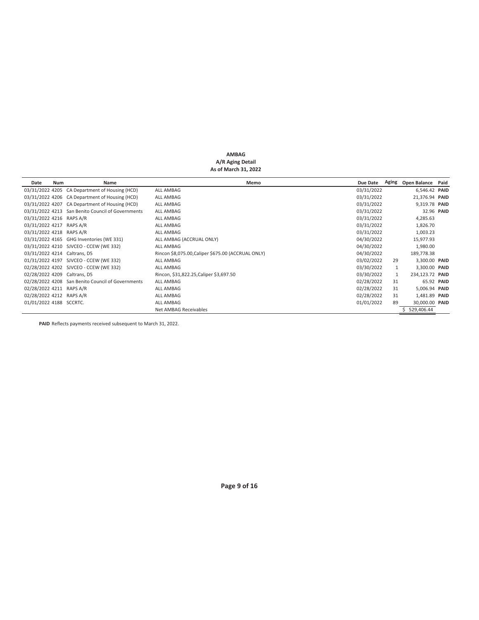#### **AMBAG A/R Aging Detail As of March 31, 2022**

| <b>Num</b><br>Date           | Name                                              | Memo                                               | Due Date   | Aging | Open Balance    | Paid       |
|------------------------------|---------------------------------------------------|----------------------------------------------------|------------|-------|-----------------|------------|
|                              | 03/31/2022 4205 CA Department of Housing (HCD)    | ALL AMBAG                                          | 03/31/2022 |       | 6,546.42 PAID   |            |
|                              | 03/31/2022 4206 CA Department of Housing (HCD)    | ALL AMBAG                                          | 03/31/2022 |       | 21,376.94 PAID  |            |
|                              | 03/31/2022 4207 CA Department of Housing (HCD)    | ALL AMBAG                                          | 03/31/2022 |       | 9,319.78 PAID   |            |
|                              | 03/31/2022 4213 San Benito Council of Governments | ALL AMBAG                                          | 03/31/2022 |       | 32.96 PAID      |            |
| 03/31/2022 4216 RAPS A/R     |                                                   | ALL AMBAG                                          | 03/31/2022 |       | 4,285.63        |            |
| 03/31/2022 4217 RAPS A/R     |                                                   | ALL AMBAG                                          | 03/31/2022 |       | 1,826.70        |            |
| 03/31/2022 4218 RAPS A/R     |                                                   | ALL AMBAG                                          | 03/31/2022 |       | 1,003.23        |            |
|                              | 03/31/2022 4165 GHG Inventories (WE 331)          | ALL AMBAG (ACCRUAL ONLY)                           | 04/30/2022 |       | 15,977.93       |            |
|                              | 03/31/2022 4210 SJVCEO - CCEW (WE 332)            | ALL AMBAG                                          | 04/30/2022 |       | 1,980.00        |            |
| 03/31/2022 4214 Caltrans, D5 |                                                   | Rincon \$8,075.00, Caliper \$675.00 (ACCRUAL ONLY) | 04/30/2022 |       | 189,778.38      |            |
|                              | 01/31/2022 4197 SJVCEO - CCEW (WE 332)            | ALL AMBAG                                          | 03/02/2022 | 29    | 3,300.00 PAID   |            |
|                              | 02/28/2022 4202 SJVCEO - CCEW (WE 332)            | ALL AMBAG                                          | 03/30/2022 | 1     | 3,300.00 PAID   |            |
| 02/28/2022 4209 Caltrans, D5 |                                                   | Rincon, \$31,822.25, Caliper \$3,697.50            | 03/30/2022 |       | 234,123.72 PAID |            |
|                              | 02/28/2022 4208 San Benito Council of Governments | ALL AMBAG                                          | 02/28/2022 | 31    |                 | 65.92 PAID |
| 02/28/2022 4211 RAPS A/R     |                                                   | ALL AMBAG                                          | 02/28/2022 | 31    | 5,006.94 PAID   |            |
| 02/28/2022 4212 RAPS A/R     |                                                   | ALL AMBAG                                          | 02/28/2022 | 31    | 1,481.89 PAID   |            |
| 01/01/2022 4188 SCCRTC.      |                                                   | ALL AMBAG                                          | 01/01/2022 | 89    | 30,000.00 PAID  |            |
|                              |                                                   | Net AMBAG Receivables                              |            |       | 529,406.44      |            |

**PAID** Reflects payments received subsequent to March 31, 2022.

**Page 9 of 16**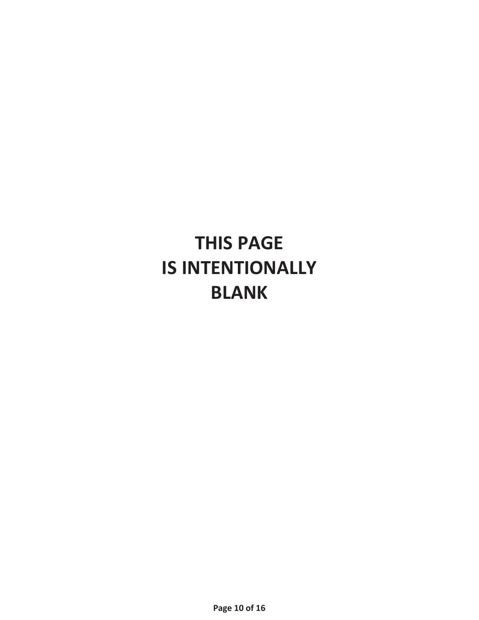# **THIS PAGE** *IS INTENTIONALLY* **BLANK**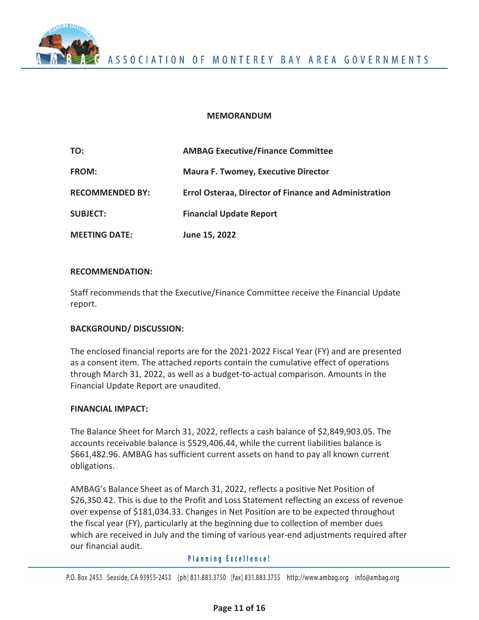

## **MEMORANDUM**

| TO:                    | <b>AMBAG Executive/Finance Committee</b>                     |
|------------------------|--------------------------------------------------------------|
| <b>FROM:</b>           | <b>Maura F. Twomey, Executive Director</b>                   |
| <b>RECOMMENDED BY:</b> | <b>Errol Osteraa, Director of Finance and Administration</b> |
| <b>SUBJECT:</b>        | <b>Financial Update Report</b>                               |
| <b>MEETING DATE:</b>   | June 15, 2022                                                |

## **RECOMMENDATION:**

Staff recommends that the Executive/Finance Committee receive the Financial Update report.

## **BACKGROUND/ DISCUSSION:**

The enclosed financial reports are for the 2021-2022 Fiscal Year (FY) and are presented as a consent item. The attached reports contain the cumulative effect of operations through March 31, 2022, as well as a budget-to-actual comparison. Amounts in the Financial Update Report are unaudited.

## **FINANCIAL IMPACT:**

The Balance Sheet for March 31, 2022, reflects a cash balance of \$2,849,903.05. The accounts receivable balance is \$529,406.44, while the current liabilities balance is \$661,482.96. AMBAG has sufficient current assets on hand to pay all known current obligations.

AMBAG's Balance Sheet as of March 31, 2022, reflects a positive Net Position of \$26,350.42. This is due to the Profit and Loss Statement reflecting an excess of revenue over expense of \$181,034.33. Changes in Net Position are to be expected throughout the fiscal year (FY), particularly at the beginning due to collection of member dues which are received in July and the timing of various year-end adjustments required after our financial audit.

## **Planning Excellence!**

P.O. Box 2453 Seaside, CA 93955-2453 [ph] 831.883.3750 [fax] 831.883.3755 http://www.ambag.org info@ambag.org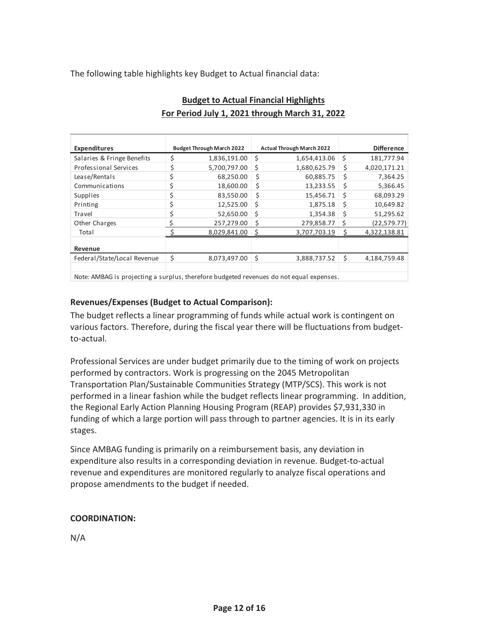The following table highlights key Budget to Actual financial data:

| <b>Expenditures</b>         |    | <b>Budget Through March 2022</b> |    | <b>Actual Through March 2022</b> |    | <b>Difference</b> |
|-----------------------------|----|----------------------------------|----|----------------------------------|----|-------------------|
| Salaries & Fringe Benefits  | \$ | 1,836,191.00                     | \$ | 1,654,413.06                     | \$ | 181,777.94        |
| Professional Services       | \$ | 5,700,797.00                     | \$ | 1,680,625.79                     | \$ | 4,020,171.21      |
| Lease/Rentals               | \$ | 68,250.00                        | Ś  | 60,885.75                        | \$ | 7,364.25          |
| Communications              | \$ | 18,600.00                        | Ŝ. | 13,233.55                        | \$ | 5,366.45          |
| Supplies                    | \$ | 83,550.00                        | Ś  | 15,456.71                        | \$ | 68,093.29         |
| Printing                    | \$ | 12,525.00                        | Ś  | 1,875.18                         | Ŝ. | 10,649.82         |
| Travel                      | \$ | 52,650.00                        | \$ | 1,354.38                         | Ś  | 51,295.62         |
| Other Charges               | Ś  | 257,279.00                       | Ś  | 279,858.77                       | Ŝ  | (22, 579.77)      |
| Total                       |    | 8,029,841.00                     |    | 3,707,703.19                     |    | 4,322,138.81      |
| Revenue                     |    |                                  |    |                                  |    |                   |
| Federal/State/Local Revenue | \$ | 8,073,497.00                     | \$ | 3,888,737.52                     | \$ | 4,184,759.48      |

## **Budget to Actual Financial Highlights For Period July 1, 2021 through March 31, 2022**

Note: AMBAG is projecting a surplus, therefore budgeted revenues do not equal expenses.

## **Revenues/Expenses (Budget to Actual Comparison):**

The budget reflects a linear programming of funds while actual work is contingent on various factors. Therefore, during the fiscal year there will be fluctuations from budgetto-actual.

Professional Services are under budget primarily due to the timing of work on projects performed by contractors. Work is progressing on the 2045 Metropolitan Transportation Plan/Sustainable Communities Strategy (MTP/SCS). This work is not performed in a linear fashion while the budget reflects linear programming. In addition, the Regional Early Action Planning Housing Program (REAP) provides \$7,931,330 in funding of which a large portion will pass through to partner agencies. It is in its early stages.

Since AMBAG funding is primarily on a reimbursement basis, any deviation in expenditure also results in a corresponding deviation in revenue. Budget-to-actual revenue and expenditures are monitored regularly to analyze fiscal operations and propose amendments to the budget if needed.

## **COORDINATION:**

N/A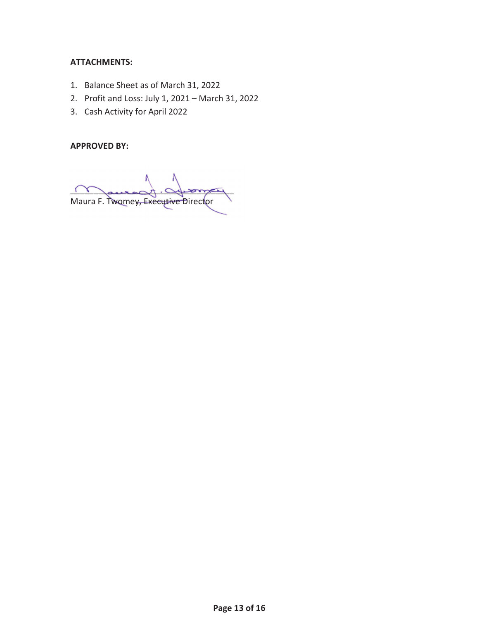## **ATTACHMENTS:**

- 1. Balance Sheet as of March 31, 2022
- 2. Profit and Loss: July 1, 2021 March 31, 2022
- 3. Cash Activity for April 2022

## **APPROVED BY:**

Mauront. Optimiz Maura F. Twomey, Executive Director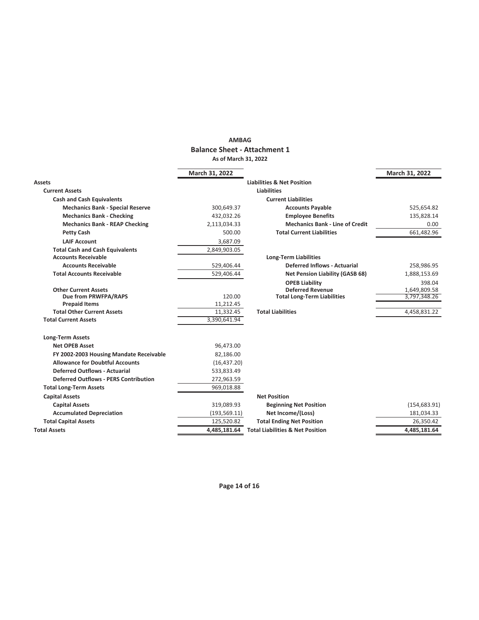#### **AMBAG Balance Sheet** - Attachment 1 **As of March 31, 2022**

|                                              | March 31, 2022 |                                             | March 31, 2022 |
|----------------------------------------------|----------------|---------------------------------------------|----------------|
| <b>Assets</b>                                |                | <b>Liabilities &amp; Net Position</b>       |                |
| <b>Current Assets</b>                        |                | <b>Liabilities</b>                          |                |
| <b>Cash and Cash Equivalents</b>             |                | <b>Current Liabilities</b>                  |                |
| <b>Mechanics Bank - Special Reserve</b>      | 300,649.37     | <b>Accounts Payable</b>                     | 525,654.82     |
| <b>Mechanics Bank - Checking</b>             | 432,032.26     | <b>Employee Benefits</b>                    | 135,828.14     |
| <b>Mechanics Bank - REAP Checking</b>        | 2,113,034.33   | <b>Mechanics Bank - Line of Credit</b>      | 0.00           |
| <b>Petty Cash</b>                            | 500.00         | <b>Total Current Liabilities</b>            | 661,482.96     |
| <b>LAIF Account</b>                          | 3,687.09       |                                             |                |
| <b>Total Cash and Cash Equivalents</b>       | 2,849,903.05   |                                             |                |
| <b>Accounts Receivable</b>                   |                | <b>Long-Term Liabilities</b>                |                |
| <b>Accounts Receivable</b>                   | 529,406.44     | <b>Deferred Inflows - Actuarial</b>         | 258,986.95     |
| <b>Total Accounts Receivable</b>             | 529,406.44     | <b>Net Pension Liability (GASB 68)</b>      | 1,888,153.69   |
|                                              |                | <b>OPEB Liability</b>                       | 398.04         |
| <b>Other Current Assets</b>                  |                | <b>Deferred Revenue</b>                     | 1,649,809.58   |
| Due from PRWFPA/RAPS                         | 120.00         | <b>Total Long-Term Liabilities</b>          | 3,797,348.26   |
| <b>Prepaid Items</b>                         | 11,212.45      |                                             |                |
| <b>Total Other Current Assets</b>            | 11,332.45      | <b>Total Liabilities</b>                    | 4,458,831.22   |
| <b>Total Current Assets</b>                  | 3,390,641.94   |                                             |                |
| <b>Long-Term Assets</b>                      |                |                                             |                |
| <b>Net OPEB Asset</b>                        | 96,473.00      |                                             |                |
| FY 2002-2003 Housing Mandate Receivable      | 82,186.00      |                                             |                |
| <b>Allowance for Doubtful Accounts</b>       | (16, 437.20)   |                                             |                |
| <b>Deferred Outflows - Actuarial</b>         | 533,833.49     |                                             |                |
| <b>Deferred Outflows - PERS Contribution</b> | 272,963.59     |                                             |                |
| <b>Total Long-Term Assets</b>                | 969,018.88     |                                             |                |
| <b>Capital Assets</b>                        |                | <b>Net Position</b>                         |                |
| <b>Capital Assets</b>                        | 319,089.93     | <b>Beginning Net Position</b>               | (154, 683.91)  |
| <b>Accumulated Depreciation</b>              | (193, 569.11)  | Net Income/(Loss)                           | 181,034.33     |
| <b>Total Capital Assets</b>                  | 125,520.82     | <b>Total Ending Net Position</b>            | 26,350.42      |
| <b>Total Assets</b>                          | 4,485,181.64   | <b>Total Liabilities &amp; Net Position</b> | 4,485,181.64   |

**Page 14 of 16**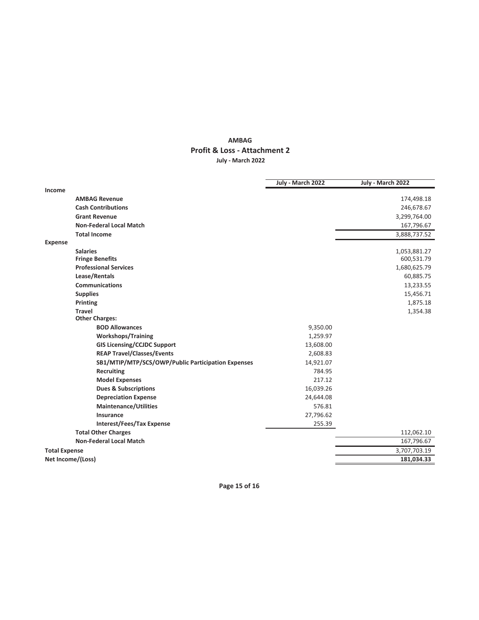#### **AMBAG Profit & Loss** - Attachment 2 **JulyͲ March 2022**

|                                                    | July - March 2022 | July - March 2022 |
|----------------------------------------------------|-------------------|-------------------|
| Income                                             |                   |                   |
| <b>AMBAG Revenue</b>                               |                   | 174,498.18        |
| <b>Cash Contributions</b>                          |                   | 246,678.67        |
| <b>Grant Revenue</b>                               |                   | 3,299,764.00      |
| <b>Non-Federal Local Match</b>                     |                   | 167,796.67        |
| <b>Total Income</b>                                |                   | 3,888,737.52      |
| <b>Expense</b>                                     |                   |                   |
| <b>Salaries</b>                                    |                   | 1,053,881.27      |
| <b>Fringe Benefits</b>                             |                   | 600,531.79        |
| <b>Professional Services</b>                       |                   | 1,680,625.79      |
| Lease/Rentals                                      |                   | 60,885.75         |
| <b>Communications</b>                              |                   | 13,233.55         |
| <b>Supplies</b>                                    |                   | 15,456.71         |
| <b>Printing</b>                                    |                   | 1,875.18          |
| <b>Travel</b>                                      |                   | 1,354.38          |
| <b>Other Charges:</b>                              |                   |                   |
| <b>BOD Allowances</b>                              | 9,350.00          |                   |
| <b>Workshops/Training</b>                          | 1,259.97          |                   |
| <b>GIS Licensing/CCJDC Support</b>                 | 13,608.00         |                   |
| <b>REAP Travel/Classes/Events</b>                  | 2,608.83          |                   |
| SB1/MTIP/MTP/SCS/OWP/Public Participation Expenses | 14,921.07         |                   |
| <b>Recruiting</b>                                  | 784.95            |                   |
| <b>Model Expenses</b>                              | 217.12            |                   |
| <b>Dues &amp; Subscriptions</b>                    | 16,039.26         |                   |
| <b>Depreciation Expense</b>                        | 24,644.08         |                   |
| <b>Maintenance/Utilities</b>                       | 576.81            |                   |
| Insurance                                          | 27,796.62         |                   |
| <b>Interest/Fees/Tax Expense</b>                   | 255.39            |                   |
| <b>Total Other Charges</b>                         |                   | 112,062.10        |
| <b>Non-Federal Local Match</b>                     |                   | 167,796.67        |
| <b>Total Expense</b>                               |                   | 3,707,703.19      |
| Net Income/(Loss)                                  |                   | 181,034.33        |

**Page 15 of 16**